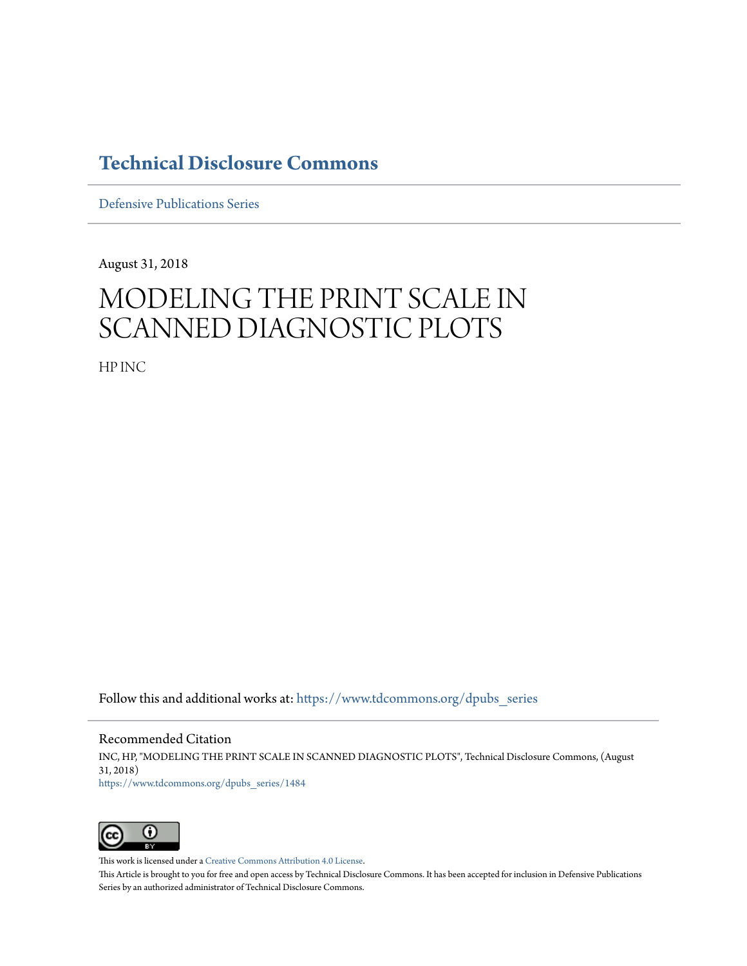## **[Technical Disclosure Commons](https://www.tdcommons.org?utm_source=www.tdcommons.org%2Fdpubs_series%2F1484&utm_medium=PDF&utm_campaign=PDFCoverPages)**

[Defensive Publications Series](https://www.tdcommons.org/dpubs_series?utm_source=www.tdcommons.org%2Fdpubs_series%2F1484&utm_medium=PDF&utm_campaign=PDFCoverPages)

August 31, 2018

# MODELING THE PRINT SCALE IN SCANNED DIAGNOSTIC PLOTS

HP INC

Follow this and additional works at: [https://www.tdcommons.org/dpubs\\_series](https://www.tdcommons.org/dpubs_series?utm_source=www.tdcommons.org%2Fdpubs_series%2F1484&utm_medium=PDF&utm_campaign=PDFCoverPages)

Recommended Citation INC, HP, "MODELING THE PRINT SCALE IN SCANNED DIAGNOSTIC PLOTS", Technical Disclosure Commons, (August 31, 2018) [https://www.tdcommons.org/dpubs\\_series/1484](https://www.tdcommons.org/dpubs_series/1484?utm_source=www.tdcommons.org%2Fdpubs_series%2F1484&utm_medium=PDF&utm_campaign=PDFCoverPages)



This work is licensed under a [Creative Commons Attribution 4.0 License.](http://creativecommons.org/licenses/by/4.0/deed.en_US)

This Article is brought to you for free and open access by Technical Disclosure Commons. It has been accepted for inclusion in Defensive Publications Series by an authorized administrator of Technical Disclosure Commons.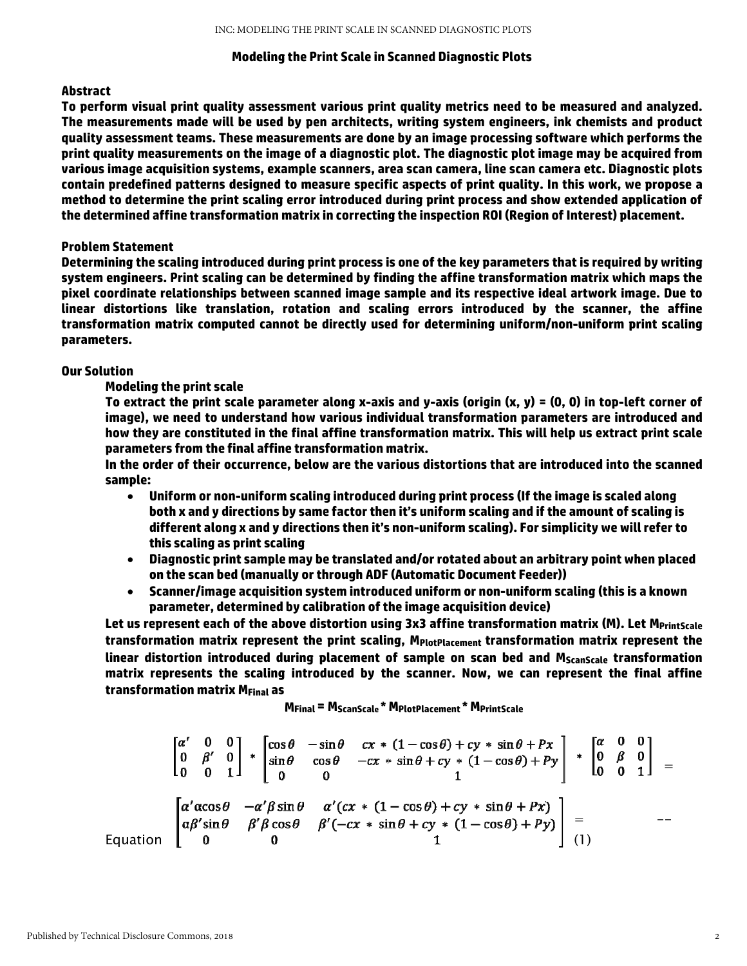#### **Modeling the Print Scale in Scanned Diagnostic Plots**

#### **Abstract**

**To perform visual print quality assessment various print quality metrics need to be measured and analyzed. The measurements made will be used by pen architects, writing system engineers, ink chemists and product quality assessment teams. These measurements are done by an image processing software which performs the print quality measurements on the image of a diagnostic plot. The diagnostic plot image may be acquired from various image acquisition systems, example scanners, area scan camera, line scan camera etc. Diagnostic plots contain predefined patterns designed to measure specific aspects of print quality. In this work, we propose a method to determine the print scaling error introduced during print process and show extended application of the determined affine transformation matrix in correcting the inspection ROI (Region of Interest) placement.** 

#### **Problem Statement**

**Determining the scaling introduced during print process is one of the key parameters that is required by writing system engineers. Print scaling can be determined by finding the affine transformation matrix which maps the pixel coordinate relationships between scanned image sample and its respective ideal artwork image. Due to linear distortions like translation, rotation and scaling errors introduced by the scanner, the affine transformation matrix computed cannot be directly used for determining uniform/non-uniform print scaling parameters.** 

#### **Our Solution**

#### **Modeling the print scale**

**To extract the print scale parameter along x-axis and y-axis (origin (x, y) = (0, 0) in top-left corner of image), we need to understand how various individual transformation parameters are introduced and how they are constituted in the final affine transformation matrix. This will help us extract print scale parameters from the final affine transformation matrix.** 

**In the order of their occurrence, below are the various distortions that are introduced into the scanned sample:** 

- **Uniform or non-uniform scaling introduced during print process (If the image is scaled along both x and y directions by same factor then it's uniform scaling and if the amount of scaling is different along x and y directions then it's non-uniform scaling). For simplicity we will refer to this scaling as print scaling**
- **Diagnostic print sample may be translated and/or rotated about an arbitrary point when placed on the scan bed (manually or through ADF (Automatic Document Feeder))**
- **Scanner/image acquisition system introduced uniform or non-uniform scaling (this is a known parameter, determined by calibration of the image acquisition device)**

Let us represent each of the above distortion using 3x3 affine transformation matrix (M). Let M<sub>PrintScale</sub> **transformation matrix represent the print scaling, MPlotPlacement transformation matrix represent the**  linear distortion introduced during placement of sample on scan bed and M<sub>ScanScale</sub> transformation **matrix represents the scaling introduced by the scanner. Now, we can represent the final affine transformation matrix MFinal as** 

**MFinal = MScanScale \* MPlotPlacement \* MPrintScale**

$$
\begin{bmatrix}\n\alpha' & 0 & 0 \\
0 & \beta' & 0 \\
0 & 0 & 1\n\end{bmatrix} + \begin{bmatrix}\n\cos \theta & -\sin \theta & cx * (1 - \cos \theta) + cy * \sin \theta + Px \\
\sin \theta & \cos \theta & -cx * \sin \theta + cy * (1 - \cos \theta) + Py \\
0 & 0 & 1\n\end{bmatrix} + \begin{bmatrix}\n\alpha & 0 & 0 \\
0 & \beta & 0 \\
0 & 0 & 1\n\end{bmatrix} =
$$
\nEquation\n
$$
\begin{bmatrix}\n\alpha' \alpha \cos \theta & -\alpha' \beta \sin \theta & \alpha' (cx * (1 - \cos \theta) + cy * \sin \theta + Px) \\
\alpha \beta' \sin \theta & \beta' \beta \cos \theta & \beta' (-cx * \sin \theta + cy * (1 - \cos \theta) + Py) \\
0 & 0 & 1\n\end{bmatrix} = -
$$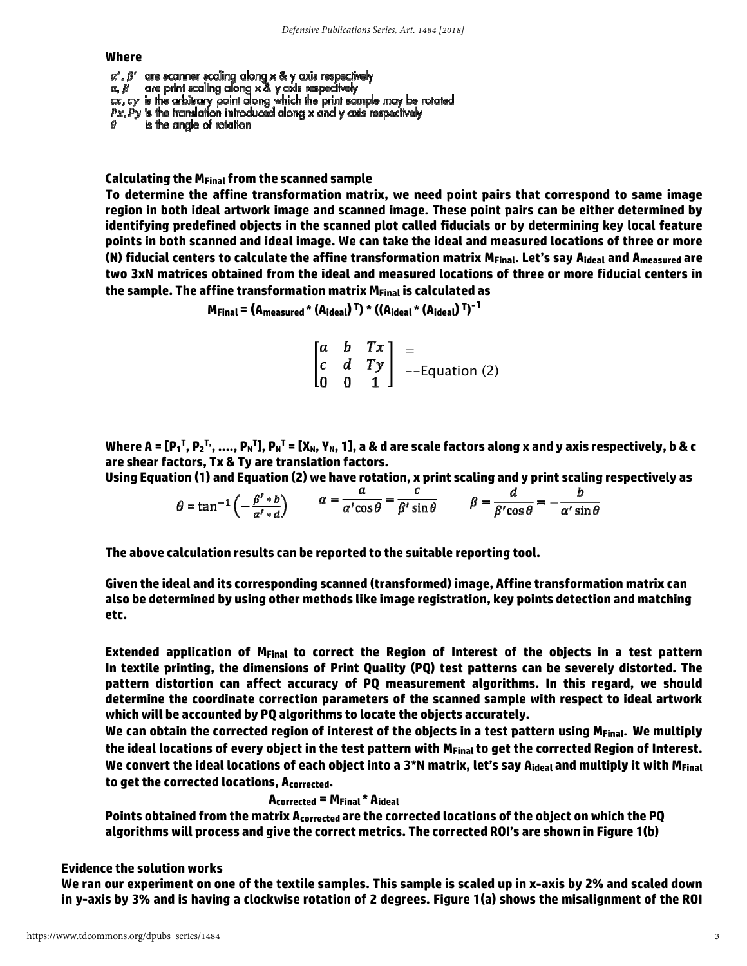#### **Where**

 $\alpha'$ ,  $\beta'$  are scanner scaling along x & y axis respectively  $\alpha$ ,  $\beta$  are print scaling along x & y axis respectively  $cx$ ,  $cy$  is the arbitrary point along which the print sample may be rotated  $Px$ ,  $Py$  is the translation introduced along x and y axis respectively is the angle of rotation

**Calculating the MFinal from the scanned sample** 

**To determine the affine transformation matrix, we need point pairs that correspond to same image region in both ideal artwork image and scanned image. These point pairs can be either determined by identifying predefined objects in the scanned plot called fiducials or by determining key local feature points in both scanned and ideal image. We can take the ideal and measured locations of three or more (N) fiducial centers to calculate the affine transformation matrix MFinal. Let's say Aideal and Ameasured are two 3xN matrices obtained from the ideal and measured locations of three or more fiducial centers in the sample. The affine transformation matrix MFinal is calculated as** 

$$
M_{Final} = (A_{measured} * (A_{ideal})^T) * ((A_{ideal} * (A_{ideal})^T)^{-1}
$$

$$
\begin{bmatrix} a & b & Tx \\ c & d & Ty \\ 0 & 0 & 1 \end{bmatrix} =
$$
Equation (2)

Where A = [P<sub>1</sub><sup>T</sup>, P<sub>2</sub><sup>T,</sup>, …., P<sub>N</sub>T], P<sub>N</sub>T = [X<sub>N</sub>, Y<sub>N</sub>, 1], a & d are scale factors along x and y axis respectively, b & c **are shear factors, Tx & Ty are translation factors.** 

**Using Equation (1) and Equation (2) we have rotation, x print scaling and y print scaling respectively as**   $\mathcal{C}$  $\mathbf{L}$  $\boldsymbol{d}$ 

$$
\theta = \tan^{-1}\left(-\frac{\beta' * b}{\alpha' * d}\right) \qquad \alpha = \frac{c}{\alpha' \cos \theta} = \frac{c}{\beta' \sin \theta} \qquad \beta = \frac{c}{\beta' \cos \theta} = -\frac{b}{\alpha' \sin \theta}
$$

**The above calculation results can be reported to the suitable reporting tool.** 

**Given the ideal and its corresponding scanned (transformed) image, Affine transformation matrix can also be determined by using other methods like image registration, key points detection and matching etc.** 

**Extended application of MFinal to correct the Region of Interest of the objects in a test pattern In textile printing, the dimensions of Print Quality (PQ) test patterns can be severely distorted. The pattern distortion can affect accuracy of PQ measurement algorithms. In this regard, we should determine the coordinate correction parameters of the scanned sample with respect to ideal artwork which will be accounted by PQ algorithms to locate the objects accurately.**

**We can obtain the corrected region of interest of the objects in a test pattern using MFinal. We multiply**  the ideal locations of every object in the test pattern with M<sub>Final</sub> to get the corrected Region of Interest. We convert the ideal locations of each object into a 3\*N matrix, let's say A<sub>ideal</sub> and multiply it with M<sub>Final</sub> **to get the corrected locations, Acorrected.**

 **Acorrected = MFinal \* Aideal**

**Points obtained from the matrix Acorrected are the corrected locations of the object on which the PQ algorithms will process and give the correct metrics. The corrected ROI's are shown in Figure 1(b)** 

#### **Evidence the solution works**

**We ran our experiment on one of the textile samples. This sample is scaled up in x-axis by 2% and scaled down in y-axis by 3% and is having a clockwise rotation of 2 degrees. Figure 1(a) shows the misalignment of the ROI**